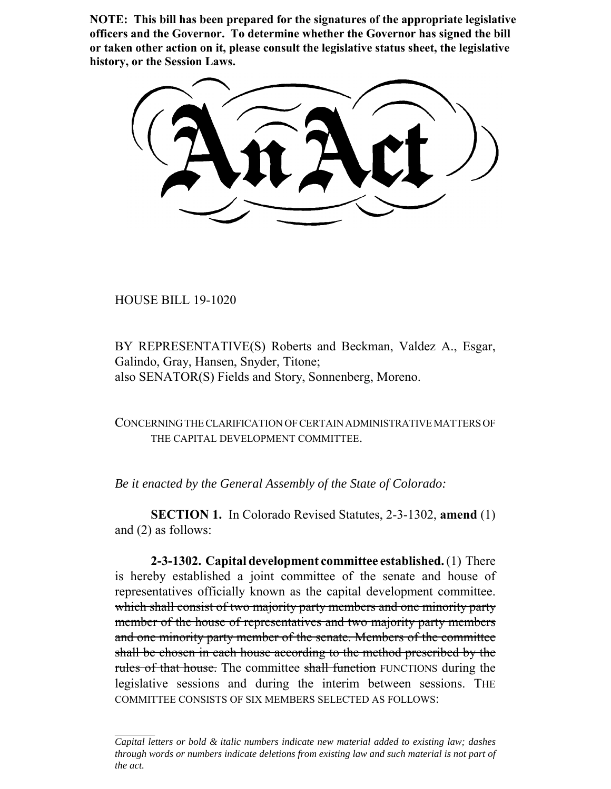**NOTE: This bill has been prepared for the signatures of the appropriate legislative officers and the Governor. To determine whether the Governor has signed the bill or taken other action on it, please consult the legislative status sheet, the legislative history, or the Session Laws.**

HOUSE BILL 19-1020

BY REPRESENTATIVE(S) Roberts and Beckman, Valdez A., Esgar, Galindo, Gray, Hansen, Snyder, Titone; also SENATOR(S) Fields and Story, Sonnenberg, Moreno.

CONCERNING THE CLARIFICATION OF CERTAIN ADMINISTRATIVE MATTERS OF THE CAPITAL DEVELOPMENT COMMITTEE.

*Be it enacted by the General Assembly of the State of Colorado:*

**SECTION 1.** In Colorado Revised Statutes, 2-3-1302, **amend** (1) and (2) as follows:

**2-3-1302. Capital development committee established.** (1) There is hereby established a joint committee of the senate and house of representatives officially known as the capital development committee. which shall consist of two majority party members and one minority party member of the house of representatives and two majority party members and one minority party member of the senate. Members of the committee shall be chosen in each house according to the method prescribed by the rules of that house. The committee shall function FUNCTIONS during the legislative sessions and during the interim between sessions. THE COMMITTEE CONSISTS OF SIX MEMBERS SELECTED AS FOLLOWS:

*Capital letters or bold & italic numbers indicate new material added to existing law; dashes through words or numbers indicate deletions from existing law and such material is not part of the act.*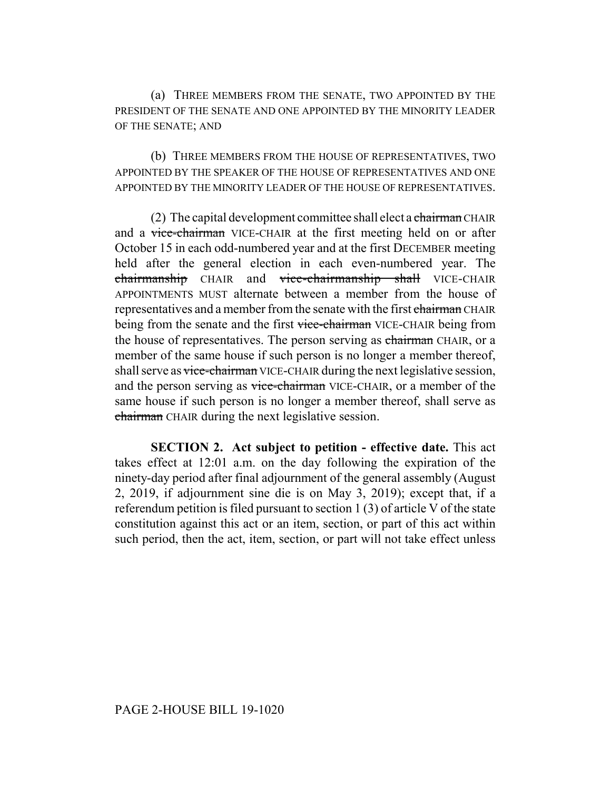(a) THREE MEMBERS FROM THE SENATE, TWO APPOINTED BY THE PRESIDENT OF THE SENATE AND ONE APPOINTED BY THE MINORITY LEADER OF THE SENATE; AND

(b) THREE MEMBERS FROM THE HOUSE OF REPRESENTATIVES, TWO APPOINTED BY THE SPEAKER OF THE HOUSE OF REPRESENTATIVES AND ONE APPOINTED BY THE MINORITY LEADER OF THE HOUSE OF REPRESENTATIVES.

(2) The capital development committee shall elect a chairman CHAIR and a vice-chairman VICE-CHAIR at the first meeting held on or after October 15 in each odd-numbered year and at the first DECEMBER meeting held after the general election in each even-numbered year. The chairmanship CHAIR and vice-chairmanship shall VICE-CHAIR APPOINTMENTS MUST alternate between a member from the house of representatives and a member from the senate with the first chairman CHAIR being from the senate and the first vice-chairman VICE-CHAIR being from the house of representatives. The person serving as chairman CHAIR, or a member of the same house if such person is no longer a member thereof, shall serve as vice-chairman VICE-CHAIR during the next legislative session, and the person serving as vice-chairman VICE-CHAIR, or a member of the same house if such person is no longer a member thereof, shall serve as chairman CHAIR during the next legislative session.

**SECTION 2. Act subject to petition - effective date.** This act takes effect at 12:01 a.m. on the day following the expiration of the ninety-day period after final adjournment of the general assembly (August 2, 2019, if adjournment sine die is on May 3, 2019); except that, if a referendum petition is filed pursuant to section 1 (3) of article V of the state constitution against this act or an item, section, or part of this act within such period, then the act, item, section, or part will not take effect unless